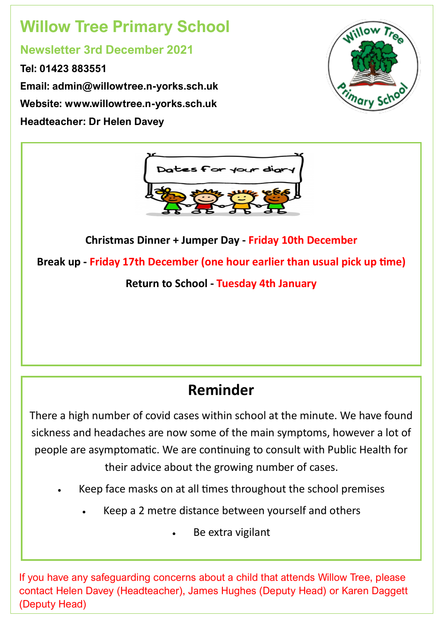# **Willow Tree Primary School**

#### **Newsletter 3rd December 2021**

**Tel: 01423 883551 Email: admin@willowtree.n-yorks.sch.uk Website: www.willowtree.n-yorks.sch.uk Headteacher: Dr Helen Davey**





**Christmas Dinner + Jumper Day - Friday 10th December Break up - Friday 17th December (one hour earlier than usual pick up time) Return to School - Tuesday 4th January** 

## **Reminder**

There a high number of covid cases within school at the minute. We have found sickness and headaches are now some of the main symptoms, however a lot of people are asymptomatic. We are continuing to consult with Public Health for their advice about the growing number of cases.

- Keep face masks on at all times throughout the school premises
	- Keep a 2 metre distance between yourself and others
		- Be extra vigilant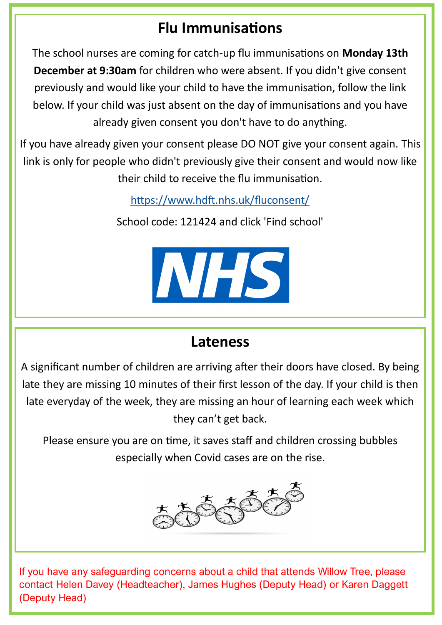### **Flu Immunisations**

The school nurses are coming for catch-up flu immunisations on **Monday 13th December at 9:30am** for children who were absent. If you didn't give consent previously and would like your child to have the immunisation, follow the link below. If your child was just absent on the day of immunisations and you have already given consent you don't have to do anything.

If you have already given your consent please DO NOT give your consent again. This link is only for people who didn't previously give their consent and would now like their child to receive the flu immunisation.

<https://www.hdft.nhs.uk/fluconsent/>

School code: 121424 and click 'Find school'



#### **Lateness**

A significant number of children are arriving after their doors have closed. By being late they are missing 10 minutes of their first lesson of the day. If your child is then late everyday of the week, they are missing an hour of learning each week which they can't get back.

Please ensure you are on time, it saves staff and children crossing bubbles especially when Covid cases are on the rise.

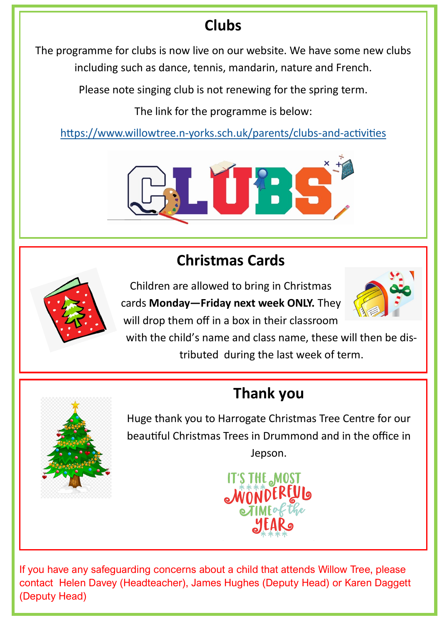## **Clubs**

The programme for clubs is now live on our website. We have some new clubs including such as dance, tennis, mandarin, nature and French.

Please note singing club is not renewing for the spring term.

The link for the programme is below:

https://www.willowtree.n-[yorks.sch.uk/parents/clubs](https://www.willowtree.n-yorks.sch.uk/parents/clubs-and-activities)-and-activities



## **Christmas Cards**



Children are allowed to bring in Christmas cards **Monday—Friday next week ONLY.** They will drop them off in a box in their classroom



with the child's name and class name, these will then be distributed during the last week of term.

# **Thank you**



Huge thank you to Harrogate Christmas Tree Centre for our beautiful Christmas Trees in Drummond and in the office in Jepson.